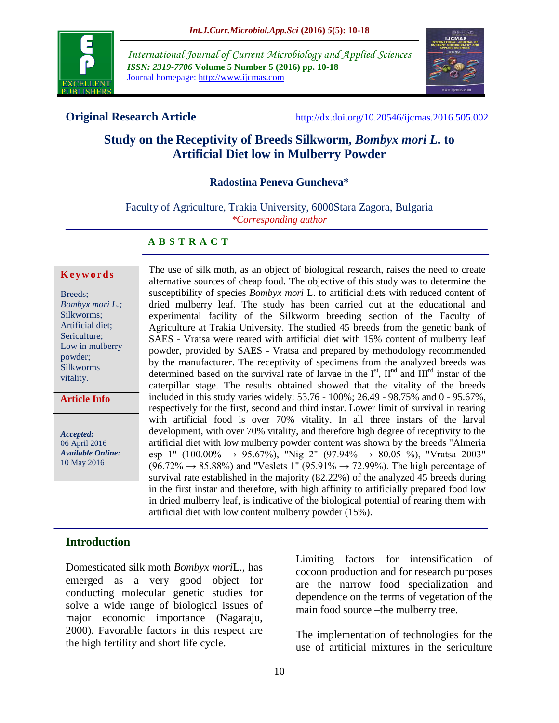

*International Journal of Current Microbiology and Applied Sciences ISSN: 2319-7706* **Volume 5 Number 5 (2016) pp. 10-18** Journal homepage: http://www.ijcmas.com



**Original Research Article** <http://dx.doi.org/10.20546/ijcmas.2016.505.002>

# **Study on the Receptivity of Breeds Silkworm,** *Bombyx mori L***. to Artificial Diet low in Mulberry Powder**

#### **Radostina Peneva Guncheva\***

Faculty of Agriculture, Trakia University, 6000Stara Zagora, Bulgaria *\*Corresponding author*

#### **A B S T R A C T**

#### **K e y w o r d s**

| Breeds:          |
|------------------|
| Bombyx mori L.;  |
| Silkworms;       |
| Artificial diet; |
| Sericulture;     |
| Low in mulberry  |
| powder;          |
| <b>Silkworms</b> |
| vitality.        |

**Article Info**

*Accepted:*  06 April 2016 *Available Online:* 10 May 2016

The use of silk moth, as an object of biological research, raises the need to create alternative sources of cheap food. The objective of this study was to determine the susceptibility of species *Bombyx mori* L. to artificial diets with reduced content of dried mulberry leaf. The study has been carried out at the educational and experimental facility of the Silkworm breeding section of the Faculty of Agriculture at Trakia University. The studied 45 breeds from the genetic bank of SAES - Vratsa were reared with artificial diet with 15% content of mulberry leaf powder, provided by SAES - Vratsa and prepared by methodology recommended by the manufacturer. The receptivity of specimens from the analyzed breeds was determined based on the survival rate of larvae in the  $I<sup>st</sup>$ ,  $II<sup>nd</sup>$  and  $III<sup>rd</sup>$  instar of the caterpillar stage. The results obtained showed that the vitality of the breeds included in this study varies widely: 53.76 - 100%; 26.49 - 98.75% and 0 - 95.67%, respectively for the first, second and third instar. Lower limit of survival in rearing with artificial food is over 70% vitality. In all three instars of the larval development, with over 70% vitality, and therefore high degree of receptivity to the artificial diet with low mulberry powder content was shown by the breeds "Almeria esp 1" (100.00%  $\rightarrow$  95.67%), "Nig 2" (97.94%  $\rightarrow$  80.05 %), "Vratsa 2003"  $(96.72\% \rightarrow 85.88\%)$  and "Veslets 1"  $(95.91\% \rightarrow 72.99\%)$ . The high percentage of survival rate established in the majority (82.22%) of the analyzed 45 breeds during in the first instar and therefore, with high affinity to artificially prepared food low in dried mulberry leaf, is indicative of the biological potential of rearing them with artificial diet with low content mulberry powder (15%).

#### **Introduction**

Domesticated silk moth *Bombyx mori*L., has emerged as a very good object for conducting molecular genetic studies for solve a wide range of biological issues of major economic importance (Nagaraju, 2000). Favorable factors in this respect are the high fertility and short life cycle.

Limiting factors for intensification of cocoon production and for research purposes are the narrow food specialization and dependence on the terms of vegetation of the main food source –the mulberry tree.

The implementation of technologies for the use of artificial mixtures in the sericulture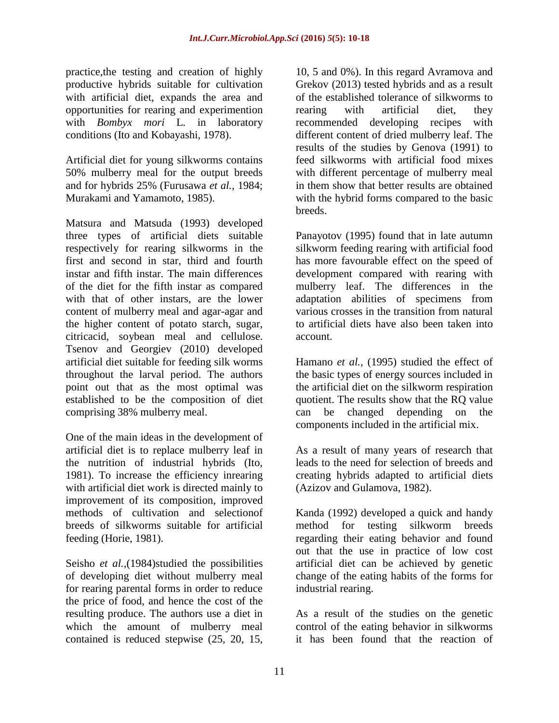practice,the testing and creation of highly productive hybrids suitable for cultivation with artificial diet, expands the area and opportunities for rearing and experimention with *Bombyx mori* L*.* in laboratory conditions (Ito and Kobayashi, 1978).

Artificial diet for young silkworms contains 50% mulberry meal for the output breeds and for hybrids 25% (Furusawa *et al.,* 1984; Murakami and Yamamoto, 1985).

Matsura and Matsuda (1993) developed three types of artificial diets suitable respectively for rearing silkworms in the first and second in star, third and fourth instar and fifth instar. The main differences of the diet for the fifth instar as compared with that of other instars, are the lower content of mulberry meal and agar-agar and the higher content of potato starch, sugar, citricacid, soybean meal and cellulose. Tsenov and Georgiev (2010) developed artificial diet suitable for feeding silk worms throughout the larval period. The authors point out that as the most optimal was established to be the composition of diet comprising 38% mulberry meal.

One of the main ideas in the development of artificial diet is to replace mulberry leaf in the nutrition of industrial hybrids (Ito, 1981). To increase the efficiency inrearing with artificial diet work is directed mainly to improvement of its composition, improved methods of cultivation and selectionof breeds of silkworms suitable for artificial feeding (Horie, 1981).

Seisho *et al.,*(1984)studied the possibilities of developing diet without mulberry meal for rearing parental forms in order to reduce the price of food, and hence the cost of the resulting produce. The authors use a diet in which the amount of mulberry meal contained is reduced stepwise (25, 20, 15,

10, 5 and 0%). In this regard Avramova and Grekov (2013) tested hybrids and as a result of the established tolerance of silkworms to rearing with artificial diet, they recommended developing recipes with different content of dried mulberry leaf. The results of the studies by Genova (1991) to feed silkworms with artificial food mixes with different percentage of mulberry meal in them show that better results are obtained with the hybrid forms compared to the basic breeds.

Panayotov (1995) found that in late autumn silkworm feeding rearing with artificial food has more favourable effect on the speed of development compared with rearing with mulberry leaf. The differences in the adaptation abilities of specimens from various crosses in the transition from natural to artificial diets have also been taken into account.

[Hamano](https://www.researchgate.net/researcher/2017780037_Kunikatsu_HAMANO) *et al.,* (1995) studied the effect of the basic types of energy sources included in the artificial diet on the silkworm respiration quotient. The results show that the RQ value can be changed depending on the components included in the artificial mix.

As a result of many years of research that leads to the need for selection of breeds and creating hybrids adapted to artificial diets (Azizov and Gulamova, 1982).

Kanda (1992) developed a quick and handy method for testing silkworm breeds regarding their eating behavior and found out that the use in practice of low cost artificial diet can be achieved by genetic change of the eating habits of the forms for industrial rearing.

As a result of the studies on the genetic control of the eating behavior in silkworms it has been found that the reaction of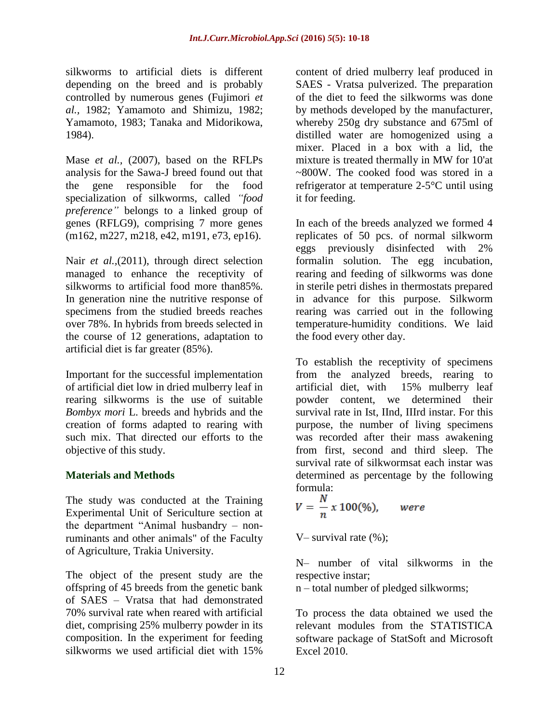silkworms to artificial diets is different depending on the breed and is probably controlled by numerous genes (Fujimori *et al.,* 1982; Yamamoto and Shimizu, 1982; Yamamoto, 1983; Tanaka and Midorikowa, 1984).

Mase *et al.,* (2007), based on the RFLPs analysis for the Sawa-J breed found out that the gene responsible for the food specialization of silkworms, called *"food preference"* belongs to a linked group of genes (RFLG9), comprising 7 more genes (m162, m227, m218, e42, m191, e73, ep16).

Nair *et al.,*(2011), through direct selection managed to enhance the receptivity of silkworms to artificial food more than85%. In generation nine the nutritive response of specimens from the studied breeds reaches over 78%. In hybrids from breeds selected in the course of 12 generations, adaptation to artificial diet is far greater (85%).

Important for the successful implementation of artificial diet low in dried mulberry leaf in rearing silkworms is the use of suitable *Bombyx mori* L. breeds and hybrids and the creation of forms adapted to rearing with such mix. That directed our efforts to the objective of this study.

### **Materials and Methods**

The study was conducted at the Training Experimental Unit of Sericulture section at the department "Animal husbandry – nonruminants and other animals" of the Faculty of Agriculture, Trakia University.

The object of the present study are the offspring of 45 breeds from the genetic bank of SAES – Vratsa that had demonstrated 70% survival rate when reared with artificial diet, comprising 25% mulberry powder in its composition. In the experiment for feeding silkworms we used artificial diet with 15%

content of dried mulberry leaf produced in SAES - Vratsa pulverized. The preparation of the diet to feed the silkworms was done by methods developed by the manufacturer, whereby 250g dry substance and 675ml of distilled water are homogenized using a mixer. Placed in a box with a lid, the mixture is treated thermally in MW for 10'at ~800W. The cooked food was stored in a refrigerator at temperature 2-5°C until using it for feeding.

In each of the breeds analyzed we formed 4 replicates of 50 pcs. of normal silkworm eggs previously disinfected with 2% formalin solution. The egg incubation, rearing and feeding of silkworms was done in sterile petri dishes in thermostats prepared in advance for this purpose. Silkworm rearing was carried out in the following temperature-humidity conditions. We laid the food every other day.

To establish the receptivity of specimens from the analyzed breeds, rearing to artificial diet, with 15% mulberry leaf powder content, we determined their survival rate in Ist, IInd, IIIrd instar. For this purpose, the number of living specimens was recorded after their mass awakening from first, second and third sleep. The survival rate of silkwormsat each instar was determined as percentage by the following formula:

$$
V = \frac{N}{n} x 100\%, \qquad were
$$

V– survival rate  $(\%)$ ;

N– number of vital silkworms in the respective instar;

n – total number of pledged silkworms;

To process the data obtained we used the relevant modules from the STATISTICA software package of StatSoft and Microsoft Excel 2010.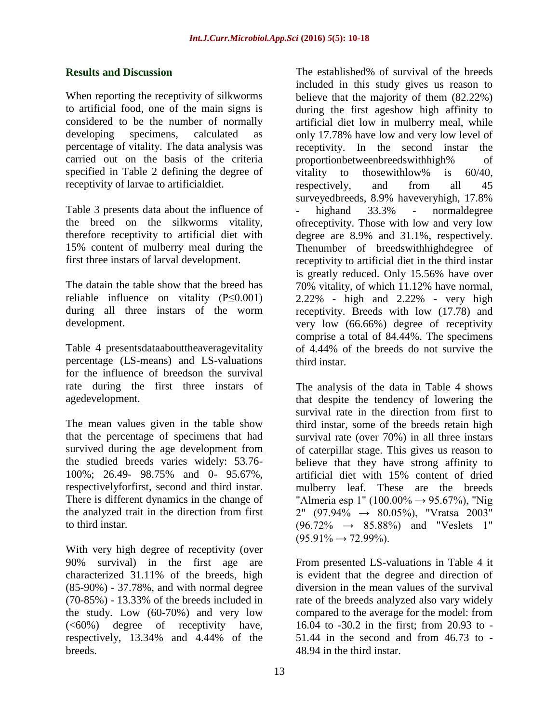#### **Results and Discussion**

When reporting the receptivity of silkworms to artificial food, one of the main signs is considered to be the number of normally developing specimens, calculated as percentage of vitality. The data analysis was carried out on the basis of the criteria specified in Table 2 defining the degree of receptivity of larvae to artificialdiet.

Table 3 presents data about the influence of the breed on the silkworms vitality, therefore receptivity to artificial diet with 15% content of mulberry meal during the first three instars of larval development.

The datain the table show that the breed has reliable influence on vitality (P≤0.001) during all three instars of the worm development.

Table 4 presentsdataabouttheaveragevitality percentage (LS-means) and LS-valuations for the influence of breedson the survival rate during the first three instars of agedevelopment.

The mean values given in the table show that the percentage of specimens that had survived during the age development from the studied breeds varies widely: 53.76- 100%; 26.49- 98.75% and 0- 95.67%, respectivelyforfirst, second and third instar. There is different dynamics in the change of the analyzed trait in the direction from first to third instar.

With very high degree of receptivity (over 90% survival) in the first age are characterized 31.11% of the breeds, high (85-90%) - 37.78%, and with normal degree (70-85%) - 13.33% of the breeds included in the study. Low (60-70%) and very low (<60%) degree of receptivity have, respectively, 13.34% and 4.44% of the breeds.

The established% of survival of the breeds included in this study gives us reason to believe that the majority of them (82.22%) during the first ageshow high affinity to artificial diet low in mulberry meal, while only 17.78% have low and very low level of receptivity. In the second instar the proportionbetweenbreedswithhigh% of vitality to thosewithlow% is 60/40, respectively, and from all 45 surveyedbreeds, 8.9% haveveryhigh, 17.8% highand 33.3% - normaldegree ofreceptivity. Those with low and very low degree are 8.9% and 31.1%, respectively. Thenumber of breedswithhighdegree of receptivity to artificial diet in the third instar is greatly reduced. Only 15.56% have over 70% vitality, of which 11.12% have normal, 2.22% - high and 2.22% - very high receptivity. Breeds with low (17.78) and very low (66.66%) degree of receptivity comprise a total of 84.44%. The specimens of 4.44% of the breeds do not survive the third instar.

The analysis of the data in Table 4 shows that despite the tendency of lowering the survival rate in the direction from first to third instar, some of the breeds retain high survival rate (over 70%) in all three instars of caterpillar stage. This gives us reason to believe that they have strong affinity to artificial diet with 15% content of dried mulberry leaf. These are the breeds "Almeria esp 1" (100.00%  $\rightarrow$  95.67%), "Nig  $2''$  (97.94%  $\rightarrow$  80.05%), "Vratsa 2003"  $(96.72\% \rightarrow 85.88\%)$  and "Veslets 1"  $(95.91\% \rightarrow 72.99\%).$ 

From presented LS-valuations in Table 4 it is evident that the degree and direction of diversion in the mean values of the survival rate of the breeds analyzed also vary widely compared to the average for the model: from 16.04 to -30.2 in the first; from 20.93 to - 51.44 in the second and from 46.73 to - 48.94 in the third instar.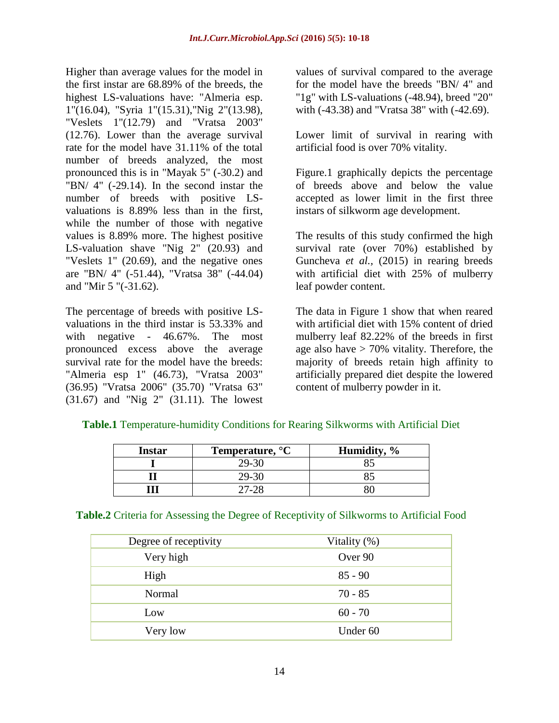Higher than average values for the model in the first instar are 68.89% of the breeds, the highest LS-valuations have: "Almeria esp. 1"(16.04), "Syria 1"(15.31),"Nig 2"(13.98), "Veslets 1"(12.79) and "Vratsa 2003" (12.76). Lower than the average survival rate for the model have 31.11% of the total number of breeds analyzed, the most pronounced this is in "Mayak 5" (-30.2) and "BN/ 4" (-29.14). In the second instar the number of breeds with positive LSvaluations is 8.89% less than in the first, while the number of those with negative values is 8.89% more. The highest positive LS-valuation shave "Nig 2" (20.93) and "Veslets 1" (20.69), and the negative ones are "BN/ 4" (-51.44), "Vratsa 38" (-44.04) and "Mir 5 "(-31.62).

The percentage of breeds with positive LSvaluations in the third instar is 53.33% and with negative - 46.67%. The most pronounced excess above the average survival rate for the model have the breeds: "Almeria esp 1" (46.73), "Vratsa 2003" (36.95) "Vratsa 2006" (35.70) "Vratsa 63" (31.67) and "Nig 2" (31.11). The lowest

values of survival compared to the average for the model have the breeds "BN/ 4" and "1g" with LS-valuations (-48.94), breed "20" with (-43.38) and "Vratsa 38" with (-42.69).

Lower limit of survival in rearing with artificial food is over 70% vitality.

Figure.1 graphically depicts the percentage of breeds above and below the value accepted as lower limit in the first three instars of silkworm age development.

The results of this study confirmed the high survival rate (over 70%) established by Guncheva *et al.,* (2015) in rearing breeds with artificial diet with 25% of mulberry leaf powder content.

The data in Figure 1 show that when reared with artificial diet with 15% content of dried mulberry leaf 82.22% of the breeds in first age also have  $> 70\%$  vitality. Therefore, the majority of breeds retain high affinity to artificially prepared diet despite the lowered content of mulberry powder in it.

| <b>Instar</b> | Temperature, <sup>o</sup> C | Humidity, % |  |  |
|---------------|-----------------------------|-------------|--|--|
|               | 29-30                       |             |  |  |
|               | 29-30                       |             |  |  |
|               |                             |             |  |  |

## **Table.1** Temperature-humidity Conditions for Rearing Silkworms with Artificial Diet

**Table.2** Criteria for Assessing the Degree of Receptivity of Silkworms to Artificial Food

| Degree of receptivity | Vitality (%) |
|-----------------------|--------------|
| Very high             | Over 90      |
| High                  | $85 - 90$    |
| Normal                | $70 - 85$    |
| Low                   | $60 - 70$    |
| Very low              | Under 60     |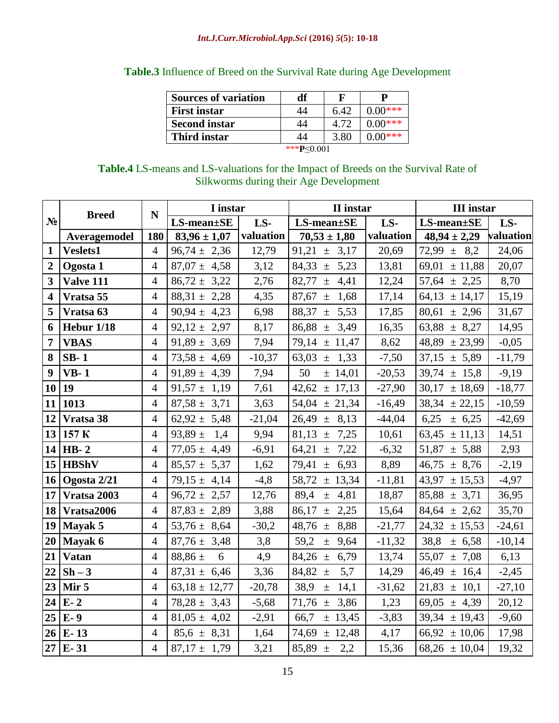| <b>Sources of variation</b> | df | F    |           |  |
|-----------------------------|----|------|-----------|--|
| <b>First instar</b>         | 44 | 6.42 | $0.00***$ |  |
| <b>Second instar</b>        | 44 | 4.72 | $0.00***$ |  |
| Third instar                | 44 | 3.80 | $0.00***$ |  |
| *** <b>P</b> <0.001         |    |      |           |  |

## **Table.3** Influence of Breed on the Survival Rate during Age Development

| <b>Table.4</b> LS-means and LS-valuations for the Impact of Breeds on the Survival Rate of |
|--------------------------------------------------------------------------------------------|
| Silkworms during their Age Development                                                     |

|                         |                      | N              | I instar            |           | II instar                      |           | <b>III</b> instar   |           |
|-------------------------|----------------------|----------------|---------------------|-----------|--------------------------------|-----------|---------------------|-----------|
| $N_2$                   | <b>Breed</b>         |                | $LS$ -mean $\pm$ SE | LS-       | $\overline{LS}$ -mean $\pm$ SE | LS-       | $LS$ -mean $\pm$ SE | LS-       |
|                         | Averagemodel         | 180            | $83,96 \pm 1,07$    | valuation | $70,53 \pm 1,80$               | valuation | $48,94 \pm 2,29$    | valuation |
| $\mathbf{1}$            | Veslets1             | $\overline{4}$ | $96,74 \pm 2,36$    | 12,79     | 91,21 $\pm$<br>3,17            | 20,69     | $72,99 \pm 8,2$     | 24,06     |
| $\overline{2}$          | Ogosta 1             | $\overline{4}$ | $87,07 \pm 4,58$    | 3,12      | 84,33 $\pm$<br>5,23            | 13,81     | 69,01 $\pm$ 11,88   | 20,07     |
| $\overline{\mathbf{3}}$ | <b>Valve 111</b>     | $\overline{4}$ | $86,72 \pm 3,22$    | 2,76      | 82,77 $\pm$<br>4,41            | 12,24     | $57,64 \pm 2,25$    | 8,70      |
| 4                       | Vratsa 55            | $\overline{4}$ | $88,31 \pm 2,28$    | 4,35      | 87,67 $\pm$<br>1,68            | 17,14     | $64,13 \pm 14,17$   | 15,19     |
| 5                       | Vratsa <sub>63</sub> | $\overline{4}$ | $90,94 \pm 4,23$    | 6,98      | 88,37<br>5,53<br>$\pm$         | 17,85     | 80,61<br>± 2,96     | 31,67     |
| 6                       | Hebur 1/18           | $\overline{4}$ | $92,12 \pm 2,97$    | 8,17      | 86,88<br>3,49<br>$\pm$         | 16,35     | $63,88 \pm 8,27$    | 14,95     |
| 7                       | <b>VBAS</b>          | $\overline{4}$ | $91,89 \pm 3,69$    | 7,94      | $79,14 \pm 11,47$              | 8,62      | $48,89 \pm 23,99$   | $-0,05$   |
| 8                       | $SB-1$               | $\overline{4}$ | $73,58 \pm 4,69$    | $-10,37$  | 1,33<br>63,03 $\pm$            | $-7,50$   | $37,15 \pm 5,89$    | $-11,79$  |
| 9                       | $VB-1$               | $\overline{4}$ | $91,89 \pm 4,39$    | 7,94      | 50<br>$±$ 14,01                | $-20,53$  | 39,74<br>± 15,8     | $-9,19$   |
| 10                      | 19                   | $\overline{4}$ | $91,57 \pm 1,19$    | 7,61      | 42,62<br>± 17,13               | $-27,90$  | $30,17 \pm 18,69$   | $-18,77$  |
| 11                      | 1013                 | $\overline{4}$ | $87,58 \pm 3,71$    | 3,63      | $54,04 \pm 21,34$              | $-16,49$  | $38,34 \pm 22,15$   | $-10,59$  |
| 12                      | Vratsa 38            | $\overline{4}$ | $62,92 \pm 5,48$    | $-21,04$  | $26,49 \pm$<br>8,13            | $-44,04$  | 6,25<br>± 6,25      | $-42,69$  |
| 13                      | 157 K                | $\overline{4}$ | 93,89 $\pm$<br>1,4  | 9,94      | 81,13<br>7,25<br>$\pm$         | 10,61     | $63,45 \pm 11,13$   | 14,51     |
| 14                      | <b>HB-2</b>          | $\overline{4}$ | $77,05 \pm 4,49$    | $-6,91$   | 7,22<br>64,21 $\pm$            | $-6,32$   | $51,87 \pm 5,88$    | 2,93      |
| 15                      | <b>HBShV</b>         | $\overline{4}$ | $85,57 \pm 5,37$    | 1,62      | $79,41 \pm$<br>6,93            | 8,89      | $46,75 \pm 8,76$    | $-2,19$   |
| 16                      | Ogosta 2/21          | $\overline{4}$ | $79,15 \pm 4,14$    | $-4, 8$   | $58,72 \pm 13,34$              | $-11,81$  | 43,97<br>± 15,53    | $-4,97$   |
| 17                      | Vratsa 2003          | $\overline{4}$ | $96,72 \pm 2,57$    | 12,76     | 89,4<br>4,81<br>$\pm$          | 18,87     | $85,88 \pm 3,71$    | 36,95     |
| 18                      | Vratsa2006           | $\overline{4}$ | $87,83 \pm 2,89$    | 3,88      | 86,17<br>$\pm$<br>2,25         | 15,64     | $84,64 \pm 2,62$    | 35,70     |
| 19                      | Mayak 5              | $\overline{4}$ | 53,76 $\pm$ 8,64    | $-30,2$   | 48,76 $\pm$<br>8,88            | $-21,77$  | 24,32<br>± 15,53    | $-24,61$  |
| 20                      | Mayak 6              | $\overline{4}$ | $87,76 \pm 3,48$    | 3,8       | 59,2<br>9,64<br>$\pm$          | $-11,32$  | 38,8<br>± 6,58      | $-10,14$  |
| 21                      | <b>Vatan</b>         | $\overline{4}$ | $88,86 \pm$<br>6    | 4,9       | 84,26 $\pm$<br>6,79            | 13,74     | 55,07<br>± 7,08     | 6,13      |
| 22                      | $Sh-3$               | $\overline{4}$ | $87,31 \pm 6,46$    | 3,36      | 84,82 $\pm$<br>5,7             | 14,29     | $46,49 \pm 16,4$    | $-2,45$   |
| 23                      | Mir <sub>5</sub>     | $\overline{4}$ | $63,18 \pm 12,77$   | $-20,78$  | 38,9<br>14,1<br>$\pm$          | $-31,62$  | $21,83 \pm 10,1$    | $-27,10$  |
| 24                      | $E-2$                | $\overline{4}$ | $78,28 \pm 3,43$    | $-5,68$   | 71,76 $\pm$<br>3,86            | 1,23      | 69,05 $\pm$ 4,39    | 20,12     |
| 25                      | E- 9                 | $\overline{4}$ | $81,05 \pm 4,02$    | $-2,91$   | 66,7<br>± 13,45                | $-3,83$   | $39,34 \pm 19,43$   | $-9,60$   |
| 26                      | $E-13$               | $\overline{4}$ | $85,6 \pm 8,31$     | 1,64      | $74,69 \pm 12,48$              | 4,17      | $66,92 \pm 10,06$   | 17,98     |
|                         | $27$ E- 31           | $\overline{4}$ | $87,17 \pm 1,79$    | 3,21      | $85,89 \pm$<br>2,2             | 15,36     | $68,26 \pm 10,04$   | 19,32     |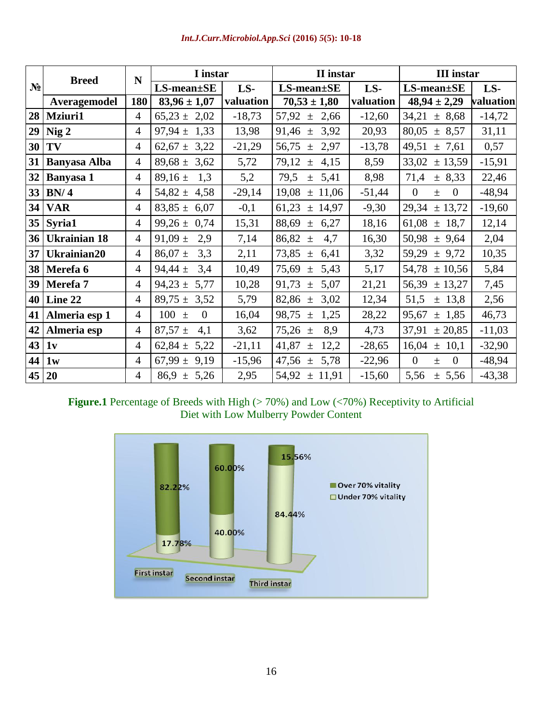|       | <b>Breed</b>        | N              | I instar                    |           | II instar              |           | <b>III</b> instar                       |           |
|-------|---------------------|----------------|-----------------------------|-----------|------------------------|-----------|-----------------------------------------|-----------|
| $N_2$ |                     |                | $LS$ -mean $\pm$ SE         | LS-       | $LS$ -mean $\pm$ SE    | LS-       | $LS$ -mean $\pm$ SE                     | LS-       |
|       | Averagemodel        | 180            | $83,96 \pm 1,07$            | valuation | $70,53 \pm 1,80$       | valuation | $48,94 \pm 2,29$                        | valuation |
| 28    | <b>Mziuri1</b>      | $\overline{4}$ | $65,23 \pm$<br>2,02         | $-18,73$  | 57,92<br>2,66<br>$\pm$ | $-12,60$  | 34,21<br>± 8,68                         | $-14,72$  |
| 29    | Nig <sub>2</sub>    | $\overline{4}$ | $97,94 \pm 1,33$            | 13,98     | $91,46 \pm 3,92$       | 20,93     | 80,05<br>± 8,57                         | 31,11     |
| 30    | TV                  | $\overline{4}$ | $62,67 \pm 3,22$            | $-21,29$  | 56,75<br>2,97<br>$\pm$ | $-13,78$  | 49,51<br>± 7,61                         | 0,57      |
| 31    | <b>Banyasa Alba</b> | 4              | 89,68 $\pm$<br>3,62         | 5,72      | 79,12<br>4,15<br>$\pm$ | 8,59      | 33,02<br>± 13,59                        | $-15,91$  |
| 32    | Banyasa 1           | $\overline{4}$ | 89,16 $\pm$<br>1,3          | 5,2       | 79,5<br>5,41<br>$\pm$  | 8,98      | 71,4<br>± 8,33                          | 22,46     |
| 33    | BN/4                | 4              | $54,82 \pm 4,58$            | $-29,14$  | 19,08<br>± 11,06       | $-51,44$  | $\overline{0}$<br>$\mathbf{0}$<br>$\pm$ | $-48,94$  |
| 34    | <b>VAR</b>          | 4              | $83,85 \pm 6,07$            | $-0,1$    | 61,23<br>± 14,97       | $-9,30$   | $29,34 \pm 13,72$                       | $-19,60$  |
| 35    | Syria1              | $\overline{4}$ | $99,26 \pm 0,74$            | 15,31     | 88,69<br>6,27<br>$\pm$ | 18,16     | 61,08<br>$±$ 18,7                       | 12,14     |
| 36    | <b>Ukrainian 18</b> | 4              | 91,09 $\pm$<br>2,9          | 7,14      | 86,82<br>4,7<br>$\pm$  | 16,30     | $50,98 \pm 9,64$                        | 2,04      |
| 37    | Ukrainian20         | $\overline{4}$ | $86,07 \pm$<br>3,3          | 2,11      | 73,85<br>6,41<br>$\pm$ | 3,32      | $59,29 \pm 9,72$                        | 10,35     |
| 38    | Merefa 6            | $\overline{4}$ | 94,44 $\pm$<br>3,4          | 10,49     | 75,69<br>5,43<br>$\pm$ | 5,17      | $54,78 \pm 10,56$                       | 5,84      |
| 39    | Merefa 7            | 4              | 94,23 $\pm$<br>5,77         | 10,28     | 91,73<br>5,07<br>$\pm$ | 21,21     | $56,39 \pm 13,27$                       | 7,45      |
| 40    | Line 22             | $\overline{4}$ | $89,75 \pm 3,52$            | 5,79      | 82,86<br>3,02<br>$\pm$ | 12,34     | 51,5<br>± 13,8                          | 2,56      |
| 41    | Almeria esp 1       | $\overline{4}$ | $100 \pm$<br>$\overline{0}$ | 16,04     | 98,75<br>1,25<br>$\pm$ | 28,22     | 95,67<br>± 1,85                         | 46,73     |
| 42    | Almeria esp         | 4              | $87,57 \pm$<br>4,1          | 3,62      | $75,26 \pm$<br>8,9     | 4,73      | 37,91<br>± 20,85                        | $-11,03$  |
| 43    | 1v                  | $\overline{4}$ | 62,84 $\pm$<br>5,22         | $-21,11$  | 41,87<br>12,2<br>$\pm$ | $-28,65$  | $16,04 \pm 10,1$                        | $-32,90$  |
| 44    | 1w                  | $\overline{4}$ | 67,99 $\pm$<br>9,19         | $-15,96$  | 47,56<br>5,78<br>$\pm$ | $-22,96$  | $\overline{0}$<br>$\mathbf{0}$<br>$\pm$ | $-48,94$  |
| 45    | <b>20</b>           | 4              | $86.9 \pm 5.26$             | 2,95      | $54,92 \pm 11,91$      | $-15,60$  | 5,56<br>± 5,56                          | $-43,38$  |

## Figure.1 Percentage of Breeds with High (> 70%) and Low (<70%) Receptivity to Artificial Diet with Low Mulberry Powder Content

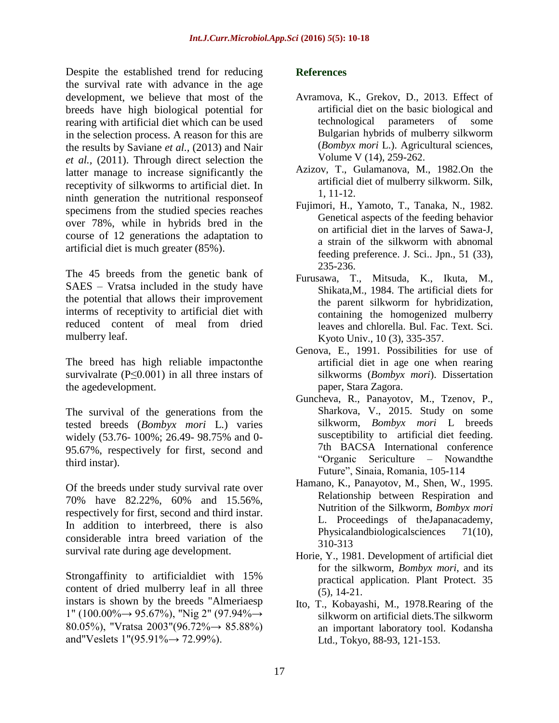Despite the established trend for reducing the survival rate with advance in the age development, we believe that most of the breeds have high biological potential for rearing with artificial diet which can be used in the selection process. A reason for this are the results by Saviane *et al.,* (2013) and Nair *et al.,* (2011). Through direct selection the latter manage to increase significantly the receptivity of silkworms to artificial diet. In ninth generation the nutritional responseof specimens from the studied species reaches over 78%, while in hybrids bred in the course of 12 generations the adaptation to artificial diet is much greater (85%).

The 45 breeds from the genetic bank of SAES – Vratsa included in the study have the potential that allows their improvement interms of receptivity to artificial diet with reduced content of meal from dried mulberry leaf.

The breed has high reliable impactonthe survivalrate  $(P \le 0.001)$  in all three instars of the agedevelopment.

The survival of the generations from the tested breeds (*Bombyx mori* L.) varies widely (53.76- 100%; 26.49- 98.75% and 0- 95.67%, respectively for first, second and third instar).

Of the breeds under study survival rate over 70% have 82.22%, 60% and 15.56%, respectively for first, second and third instar. In addition to interbreed, there is also considerable intra breed variation of the survival rate during age development.

Strongaffinity to artificialdiet with 15% content of dried mulberry leaf in all three instars is shown by the breeds "Almeriaesp 1" (100.00%→ 95.67%), "Nig 2" (97.94%→ 80.05%), "Vratsa 2003"(96.72%→ 85.88%) and"Veslets  $1" (95.91\% \rightarrow 72.99\%).$ 

### **References**

- Avramova, K., Grekov, D., 2013. Effect of artificial diet on the basic biological and technological parameters of some Bulgarian hybrids of mulberry silkworm (*Bombyx mori* L.). Agricultural sciences, Volume V (14), 259-262.
- Azizov, T., Gulamanova, M., 1982.On the artificial diet of mulberry silkworm. Silk, 1, 11-12.
- Fujimori, H., Yamoto, T., Tanaka, N., 1982. Genetical aspects of the feeding behavior on artificial diet in the larves of Sawa-J, a strain of the silkworm with abnomal feeding preference. J. Sci.. Jpn., 51 (33), 235-236.
- Furusawa, T., Mitsuda, K., Ikuta, M., Shikata,M., 1984. The artificial diets for the parent silkworm for hybridization, containing the homogenized mulberry leaves and chlorella. Bul. Fac. Text. Sci. Kyoto Univ., 10 (3), 335-357.
- Genova, E., 1991. Possibilities for use of artificial diet in age one when rearing silkworms (*Bombyx mori*). Dissertation paper, Stara Zagora.
- Guncheva, R., Panayotov, M., Tzenov, P., Sharkova, V., 2015. Study on some silkworm, *Bombyx mori* L breeds susceptibility to artificial diet feeding. 7th BACSA International conference "Organic Sericulture – Nowandthe Future", Sinaia, Romania, 105-114
- Hamano, K., Panayotov, M., Shen, W., 1995. Relationship between Respiration and Nutrition of the Silkworm, *Bombyx mori* L. Proceedings of theJapanacademy, Physicalandbiologicalsciences 71(10), 310-313
- Horie, Y., 1981. Development of artificial diet for the silkworm, *Bombyx mori*, and its practical application. Plant Protect. 35 (5), 14-21.
- Ito, T., Kobayashi, M., 1978.Rearing of the silkworm on artificial diets.The silkworm an important laboratory tool. Kodansha Ltd., Tokyo, 88-93, 121-153.